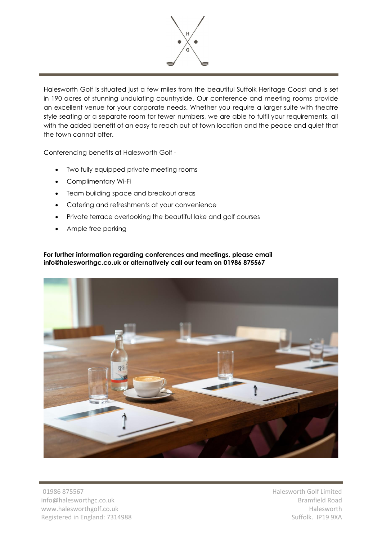

Halesworth Golf is situated just a few miles from the beautiful Suffolk Heritage Coast and is set in 190 acres of stunning undulating countryside. Our conference and meeting rooms provide an excellent venue for your corporate needs. Whether you require a larger suite with theatre style seating or a separate room for fewer numbers, we are able to fulfil your requirements, all with the added benefit of an easy to reach out of town location and the peace and quiet that the town cannot offer.

Conferencing benefits at Halesworth Golf -

- Two fully equipped private meeting rooms
- Complimentary Wi-Fi
- Team building space and breakout areas
- Catering and refreshments at your convenience
- Private terrace overlooking the beautiful lake and golf courses
- Ample free parking

**For further information regarding conferences and meetings, please email info@halesworthgc.co.uk or alternatively call our team on 01986 875567**



01986 875567 info@halesworthgc.co.uk www.halesworthgolf.co.uk Registered in England: 7314988 Halesworth Golf Limited Bramfield Road Halesworth Suffolk. IP19 9XA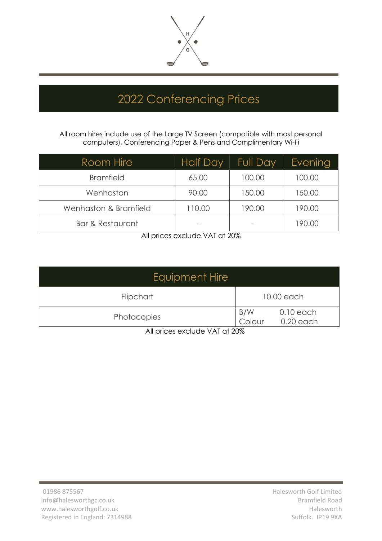

## 2022 Conferencing Prices

All room hires include use of the Large TV Screen (compatible with most personal computers), Conferencing Paper & Pens and Complimentary Wi-Fi

| Room Hire                   | <b>Half Day</b> | <b>Full Day</b> | <b>Evening</b> |
|-----------------------------|-----------------|-----------------|----------------|
| <b>Bramfield</b>            | 65.00           | 100.00          | 100.00         |
| Wenhaston                   | 90.00           | 150.00          | 150.00         |
| Wenhaston & Bramfield       | 110.00          | 190.00          | 190.00         |
| <b>Bar &amp; Restaurant</b> |                 |                 | 190.00         |

All prices exclude VAT at 20%

| Equipment Hire |               |                            |  |  |
|----------------|---------------|----------------------------|--|--|
| Flipchart      |               | 10.00 each                 |  |  |
| Photocopies    | B/W<br>Colour | $0.10$ each<br>$0.20$ each |  |  |

All prices exclude VAT at 20%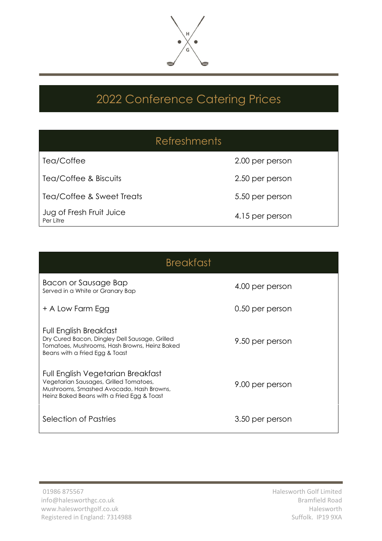

## 2022 Conference Catering Prices

|                                       | <b>Refreshments</b> |
|---------------------------------------|---------------------|
| Tea/Coffee                            | 2.00 per person     |
| Tea/Coffee & Biscuits                 | 2.50 per person     |
| Tea/Coffee & Sweet Treats             | 5.50 per person     |
| Jug of Fresh Fruit Juice<br>Per Litre | 4.15 per person     |

| <b>Breakfast</b>                                                                                                                                                      |                 |  |  |  |
|-----------------------------------------------------------------------------------------------------------------------------------------------------------------------|-----------------|--|--|--|
| Bacon or Sausage Bap<br>Served in a White or Granary Bap                                                                                                              | 4.00 per person |  |  |  |
| + A Low Farm Egg                                                                                                                                                      | 0.50 per person |  |  |  |
| Full English Breakfast<br>Dry Cured Bacon, Dingley Dell Sausage, Grilled<br>Tomatoes, Mushrooms, Hash Browns, Heinz Baked<br>Beans with a Fried Egg & Toast           | 9.50 per person |  |  |  |
| Full English Vegetarian Breakfast<br>Vegetarian Sausages, Grilled Tomatoes,<br>Mushrooms, Smashed Avocado, Hash Browns,<br>Heinz Baked Beans with a Fried Egg & Toast | 9.00 per person |  |  |  |
| Selection of Pastries                                                                                                                                                 | 3.50 per person |  |  |  |